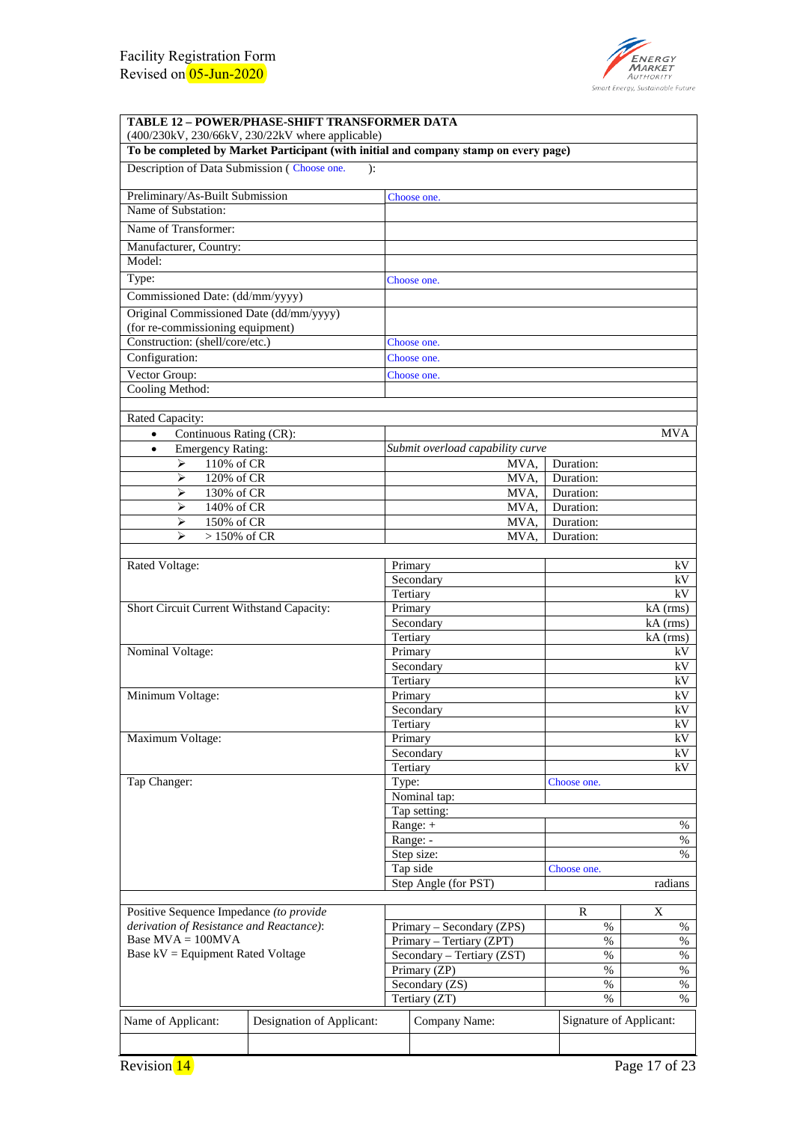

| <b>TABLE 12 - POWER/PHASE-SHIFT TRANSFORMER DATA</b>                                                                                            |                           |                     |                                                       |                 |                         |                        |  |
|-------------------------------------------------------------------------------------------------------------------------------------------------|---------------------------|---------------------|-------------------------------------------------------|-----------------|-------------------------|------------------------|--|
| (400/230kV, 230/66kV, 230/22kV where applicable)                                                                                                |                           |                     |                                                       |                 |                         |                        |  |
| To be completed by Market Participant (with initial and company stamp on every page)<br>Description of Data Submission (Choose one.             |                           |                     |                                                       |                 |                         |                        |  |
| ):                                                                                                                                              |                           |                     |                                                       |                 |                         |                        |  |
| Preliminary/As-Built Submission                                                                                                                 |                           |                     | Choose one.                                           |                 |                         |                        |  |
| Name of Substation:                                                                                                                             |                           |                     |                                                       |                 |                         |                        |  |
| Name of Transformer:                                                                                                                            |                           |                     |                                                       |                 |                         |                        |  |
| Manufacturer, Country:                                                                                                                          |                           |                     |                                                       |                 |                         |                        |  |
| Model:                                                                                                                                          |                           |                     |                                                       |                 |                         |                        |  |
| Type:                                                                                                                                           |                           |                     | Choose one.                                           |                 |                         |                        |  |
| Commissioned Date: (dd/mm/yyyy)                                                                                                                 |                           |                     |                                                       |                 |                         |                        |  |
| Original Commissioned Date (dd/mm/yyyy)                                                                                                         |                           |                     |                                                       |                 |                         |                        |  |
| (for re-commissioning equipment)                                                                                                                |                           |                     |                                                       |                 |                         |                        |  |
| Construction: (shell/core/etc.)                                                                                                                 |                           | Choose one.         |                                                       |                 |                         |                        |  |
| Configuration:                                                                                                                                  |                           |                     | Choose one.                                           |                 |                         |                        |  |
| Vector Group:<br>Cooling Method:                                                                                                                |                           |                     | Choose one.                                           |                 |                         |                        |  |
|                                                                                                                                                 |                           |                     |                                                       |                 |                         |                        |  |
| Rated Capacity:                                                                                                                                 |                           |                     |                                                       |                 |                         |                        |  |
| Continuous Rating (CR):<br>$\bullet$                                                                                                            |                           |                     |                                                       |                 |                         | <b>MVA</b>             |  |
| <b>Emergency Rating:</b><br>$\bullet$                                                                                                           |                           |                     | Submit overload capability curve                      |                 |                         |                        |  |
| 110% of CR<br>⋗                                                                                                                                 |                           |                     | MVA,                                                  |                 | Duration:               |                        |  |
| ➤<br>120% of CR                                                                                                                                 |                           |                     | MVA.                                                  |                 | Duration:               |                        |  |
| ➤<br>130% of CR<br>140% of CR                                                                                                                   |                           |                     | MVA,<br>MVA,                                          |                 | Duration:<br>Duration:  |                        |  |
| ➤<br>➤<br>150% of CR                                                                                                                            |                           |                     | MVA,                                                  |                 | Duration:               |                        |  |
| $\blacktriangleright$<br>$>150\%$ of CR                                                                                                         |                           |                     | MVA.                                                  |                 | Duration:               |                        |  |
|                                                                                                                                                 |                           |                     |                                                       |                 |                         |                        |  |
| Rated Voltage:                                                                                                                                  |                           | Primary             |                                                       |                 |                         | kV                     |  |
|                                                                                                                                                 |                           |                     | Secondary                                             |                 |                         | kV                     |  |
|                                                                                                                                                 |                           | Tertiary            |                                                       |                 |                         | kV                     |  |
| Short Circuit Current Withstand Capacity:                                                                                                       |                           | Primary             | Secondary                                             |                 |                         | $kA$ (rms)<br>kA (rms) |  |
|                                                                                                                                                 |                           | Tertiary            |                                                       |                 |                         | $kA$ (rms)             |  |
| Nominal Voltage:                                                                                                                                |                           | Primary             |                                                       | kV              |                         |                        |  |
|                                                                                                                                                 |                           |                     | Secondary                                             |                 |                         | kV                     |  |
|                                                                                                                                                 |                           | Tertiary            |                                                       |                 |                         | kV                     |  |
| Minimum Voltage:                                                                                                                                |                           | Primary             |                                                       |                 |                         | kV                     |  |
|                                                                                                                                                 |                           |                     | Secondary                                             | $\rm{kV}$<br>kV |                         |                        |  |
| Maximum Voltage:                                                                                                                                |                           | Tertiary<br>Primary |                                                       |                 |                         | kV                     |  |
|                                                                                                                                                 |                           |                     | Secondary                                             |                 |                         | kV                     |  |
|                                                                                                                                                 |                           | Tertiary            |                                                       | kV              |                         |                        |  |
| Tap Changer:                                                                                                                                    |                           | Type:               |                                                       |                 | Choose one.             |                        |  |
|                                                                                                                                                 |                           |                     | Nominal tap:                                          |                 |                         |                        |  |
|                                                                                                                                                 |                           |                     | Tap setting:                                          |                 |                         |                        |  |
|                                                                                                                                                 |                           | Range: -            | Range: +                                              | $\%$<br>$\%$    |                         |                        |  |
|                                                                                                                                                 |                           |                     | Step size:                                            | $\%$            |                         |                        |  |
|                                                                                                                                                 |                           | Tap side            |                                                       | Choose one.     |                         |                        |  |
|                                                                                                                                                 |                           |                     | Step Angle (for PST)                                  | radians         |                         |                        |  |
|                                                                                                                                                 |                           |                     |                                                       |                 |                         |                        |  |
| Positive Sequence Impedance (to provide<br>derivation of Resistance and Reactance):<br>Base $MVA = 100MVA$<br>Base kV = Equipment Rated Voltage |                           |                     |                                                       |                 | R                       | X                      |  |
|                                                                                                                                                 |                           |                     | Primary - Secondary (ZPS)<br>Primary - Tertiary (ZPT) |                 | $\%$<br>%               | $\%$<br>$\%$           |  |
|                                                                                                                                                 |                           |                     | Secondary - Tertiary (ZST)                            |                 | %                       | %                      |  |
|                                                                                                                                                 |                           |                     | Primary (ZP)                                          |                 | %                       | %                      |  |
|                                                                                                                                                 |                           |                     | Secondary (ZS)                                        |                 | $\%$                    | $\%$                   |  |
|                                                                                                                                                 |                           |                     | Tertiary (ZT)                                         |                 | $\%$                    | $\%$                   |  |
| Name of Applicant:                                                                                                                              | Designation of Applicant: |                     | Company Name:                                         |                 | Signature of Applicant: |                        |  |
|                                                                                                                                                 |                           |                     |                                                       |                 |                         |                        |  |